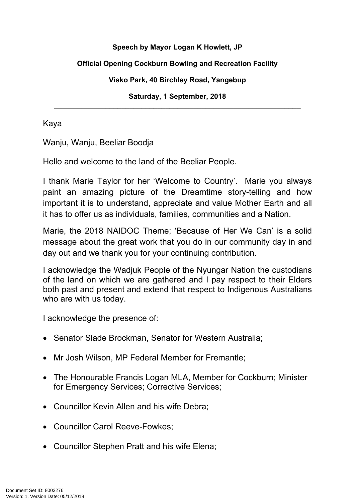## **Speech by Mayor Logan K Howlett, JP**

## **Official Opening Cockburn Bowling and Recreation Facility**

#### **Visko Park, 40 Birchley Road, Yangebup**

**Saturday, 1 September, 2018 \_\_\_\_\_\_\_\_\_\_\_\_\_\_\_\_\_\_\_\_\_\_\_\_\_\_\_\_\_\_\_\_\_\_\_\_\_\_\_\_\_\_\_\_\_\_\_\_\_\_\_\_\_\_\_\_\_\_\_\_\_\_**

Kaya

Wanju, Wanju, Beeliar Boodja

Hello and welcome to the land of the Beeliar People.

I thank Marie Taylor for her 'Welcome to Country'. Marie you always paint an amazing picture of the Dreamtime story-telling and how important it is to understand, appreciate and value Mother Earth and all it has to offer us as individuals, families, communities and a Nation.

Marie, the 2018 NAIDOC Theme; 'Because of Her We Can' is a solid message about the great work that you do in our community day in and day out and we thank you for your continuing contribution.

I acknowledge the Wadjuk People of the Nyungar Nation the custodians of the land on which we are gathered and I pay respect to their Elders both past and present and extend that respect to Indigenous Australians who are with us today.

I acknowledge the presence of:

- Senator Slade Brockman, Senator for Western Australia;
- Mr Josh Wilson, MP Federal Member for Fremantle:
- The Honourable Francis Logan MLA, Member for Cockburn; Minister for Emergency Services; Corrective Services;
- Councillor Kevin Allen and his wife Debra:
- Councillor Carol Reeve-Fowkes;
- Councillor Stephen Pratt and his wife Elena;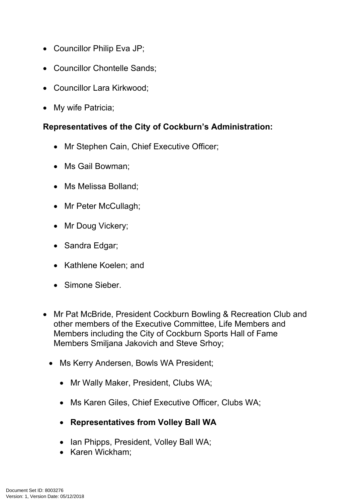- Councillor Philip Eva JP;
- Councillor Chontelle Sands;
- Councillor Lara Kirkwood;
- My wife Patricia:

# **Representatives of the City of Cockburn's Administration:**

- Mr Stephen Cain, Chief Executive Officer;
- Ms Gail Bowman:
- Ms Melissa Bolland;
- Mr Peter McCullagh;
- Mr Doug Vickery;
- Sandra Edgar;
- Kathlene Koelen; and
- Simone Sieber.
- Mr Pat McBride, President Cockburn Bowling & Recreation Club and other members of the Executive Committee, Life Members and Members including the City of Cockburn Sports Hall of Fame Members Smiljana Jakovich and Steve Srhoy;
	- Ms Kerry Andersen, Bowls WA President;
		- Mr Wally Maker, President, Clubs WA;
		- Ms Karen Giles, Chief Executive Officer, Clubs WA;
		- **Representatives from Volley Ball WA**
		- Ian Phipps, President, Volley Ball WA;
		- Karen Wickham;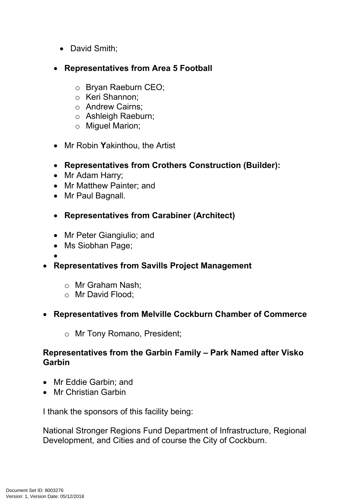- David Smith;
- **Representatives from Area 5 Football**
	- o Bryan Raeburn CEO;
	- o Keri Shannon;
	- o Andrew Cairns;
	- o Ashleigh Raeburn;
	- o Miguel Marion;
- Mr Robin **Y**akinthou, the Artist
- **Representatives from Crothers Construction (Builder):**
- Mr Adam Harry;
- Mr Matthew Painter; and
- Mr Paul Bagnall.
- **Representatives from Carabiner (Architect)**
- Mr Peter Giangiulio; and
- Ms Siobhan Page;
- $\bullet$
- **Representatives from Savills Project Management**
	- o Mr Graham Nash;
	- o Mr David Flood;
- **Representatives from Melville Cockburn Chamber of Commerce**
	- o Mr Tony Romano, President;

# **Representatives from the Garbin Family – Park Named after Visko Garbin**

- Mr Eddie Garbin: and
- Mr Christian Garbin

I thank the sponsors of this facility being:

National Stronger Regions Fund Department of Infrastructure, Regional Development, and Cities and of course the City of Cockburn.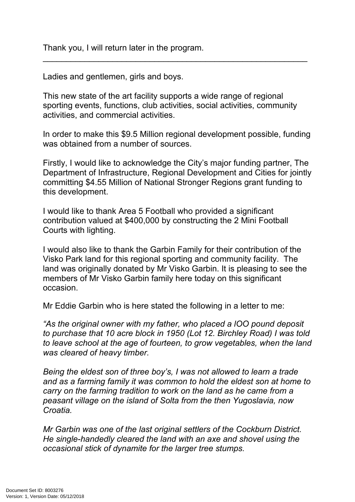Thank you, I will return later in the program.

Ladies and gentlemen, girls and boys.

This new state of the art facility supports a wide range of regional sporting events, functions, club activities, social activities, community activities, and commercial activities.

\_\_\_\_\_\_\_\_\_\_\_\_\_\_\_\_\_\_\_\_\_\_\_\_\_\_\_\_\_\_\_\_\_\_\_\_\_\_\_\_\_\_\_\_\_\_\_\_\_\_\_\_\_\_\_\_\_

In order to make this \$9.5 Million regional development possible, funding was obtained from a number of sources.

Firstly, I would like to acknowledge the City's major funding partner, The Department of Infrastructure, Regional Development and Cities for jointly committing \$4.55 Million of National Stronger Regions grant funding to this development.

I would like to thank Area 5 Football who provided a significant contribution valued at \$400,000 by constructing the 2 Mini Football Courts with lighting.

I would also like to thank the Garbin Family for their contribution of the Visko Park land for this regional sporting and community facility. The land was originally donated by Mr Visko Garbin. It is pleasing to see the members of Mr Visko Garbin family here today on this significant occasion.

Mr Eddie Garbin who is here stated the following in a letter to me:

*"As the original owner with my father, who placed a lOO pound deposit to purchase that 10 acre block in 1950 (Lot 12. Birchley Road) I was told to leave school at the age of fourteen, to grow vegetables, when the land was cleared of heavy timber.*

*Being the eldest son of three boy's, I was not allowed to learn a trade and as a farming family it was common to hold the eldest son at home to carry on the farming tradition to work on the land as he came from a peasant village on the island of Solta from the then Yugoslavia, now Croatia.*

*Mr Garbin was one of the last original settlers of the Cockburn District. He single-handedly cleared the land with an axe and shovel using the occasional stick of dynamite for the larger tree stumps.*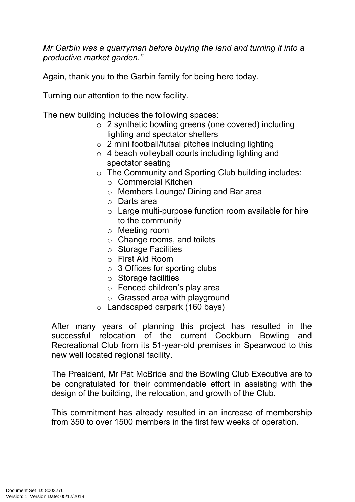*Mr Garbin was a quarryman before buying the land and turning it into a productive market garden."*

Again, thank you to the Garbin family for being here today.

Turning our attention to the new facility.

The new building includes the following spaces:

- o 2 synthetic bowling greens (one covered) including lighting and spectator shelters
- $\circ$  2 mini football/futsal pitches including lighting
- $\circ$  4 beach volleyball courts including lighting and spectator seating
- o The Community and Sporting Club building includes:
	- o Commercial Kitchen
	- o Members Lounge/ Dining and Bar area
	- o Darts area
	- o Large multi-purpose function room available for hire to the community
	- o Meeting room
	- o Change rooms, and toilets
	- o Storage Facilities
	- o First Aid Room
	- $\circ$  3 Offices for sporting clubs
	- o Storage facilities
	- o Fenced children's play area
	- o Grassed area with playground
- o Landscaped carpark (160 bays)

After many years of planning this project has resulted in the successful relocation of the current Cockburn Bowling and Recreational Club from its 51-year-old premises in Spearwood to this new well located regional facility.

The President, Mr Pat McBride and the Bowling Club Executive are to be congratulated for their commendable effort in assisting with the design of the building, the relocation, and growth of the Club.

This commitment has already resulted in an increase of membership from 350 to over 1500 members in the first few weeks of operation.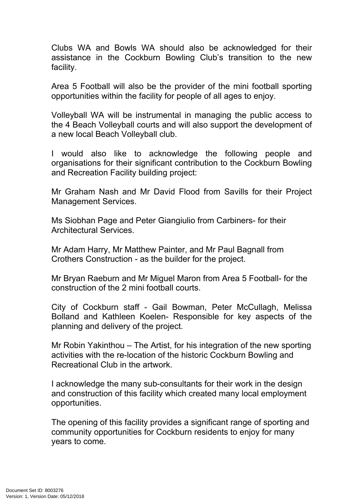Clubs WA and Bowls WA should also be acknowledged for their assistance in the Cockburn Bowling Club's transition to the new facility.

Area 5 Football will also be the provider of the mini football sporting opportunities within the facility for people of all ages to enjoy.

Volleyball WA will be instrumental in managing the public access to the 4 Beach Volleyball courts and will also support the development of a new local Beach Volleyball club.

I would also like to acknowledge the following people and organisations for their significant contribution to the Cockburn Bowling and Recreation Facility building project:

Mr Graham Nash and Mr David Flood from Savills for their Project Management Services.

Ms Siobhan Page and Peter Giangiulio from Carbiners- for their Architectural Services.

Mr Adam Harry, Mr Matthew Painter, and Mr Paul Bagnall from Crothers Construction - as the builder for the project.

Mr Bryan Raeburn and Mr Miguel Maron from Area 5 Football- for the construction of the 2 mini football courts.

City of Cockburn staff - Gail Bowman, Peter McCullagh, Melissa Bolland and Kathleen Koelen- Responsible for key aspects of the planning and delivery of the project.

Mr Robin Yakinthou – The Artist, for his integration of the new sporting activities with the re-location of the historic Cockburn Bowling and Recreational Club in the artwork.

I acknowledge the many sub-consultants for their work in the design and construction of this facility which created many local employment opportunities.

The opening of this facility provides a significant range of sporting and community opportunities for Cockburn residents to enjoy for many years to come.